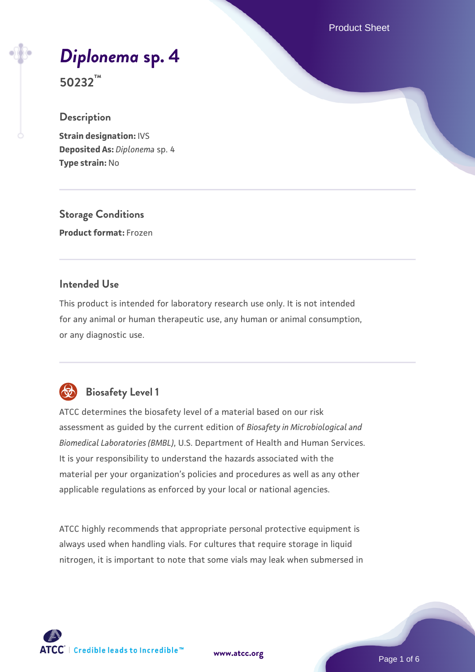Product Sheet

# *[Diplonema](https://www.atcc.org/products/50232)* **[sp. 4](https://www.atcc.org/products/50232)**

**50232™**

# **Description**

**Strain designation:** IVS **Deposited As:** *Diplonema* sp. 4 **Type strain:** No

**Storage Conditions Product format:** Frozen

#### **Intended Use**

This product is intended for laboratory research use only. It is not intended for any animal or human therapeutic use, any human or animal consumption, or any diagnostic use.



# **Biosafety Level 1**

ATCC determines the biosafety level of a material based on our risk assessment as guided by the current edition of *Biosafety in Microbiological and Biomedical Laboratories (BMBL)*, U.S. Department of Health and Human Services. It is your responsibility to understand the hazards associated with the material per your organization's policies and procedures as well as any other applicable regulations as enforced by your local or national agencies.

ATCC highly recommends that appropriate personal protective equipment is always used when handling vials. For cultures that require storage in liquid nitrogen, it is important to note that some vials may leak when submersed in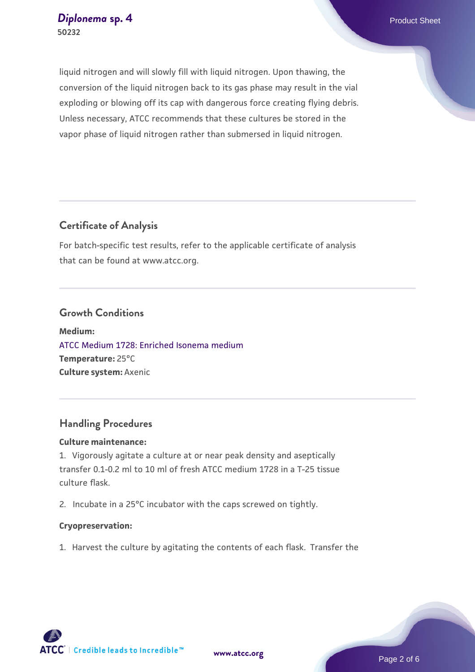liquid nitrogen and will slowly fill with liquid nitrogen. Upon thawing, the conversion of the liquid nitrogen back to its gas phase may result in the vial exploding or blowing off its cap with dangerous force creating flying debris. Unless necessary, ATCC recommends that these cultures be stored in the vapor phase of liquid nitrogen rather than submersed in liquid nitrogen.

# **Certificate of Analysis**

For batch-specific test results, refer to the applicable certificate of analysis that can be found at www.atcc.org.

#### **Growth Conditions**

**Medium:**  [ATCC Medium 1728: Enriched Isonema medium](https://www.atcc.org/-/media/product-assets/documents/microbial-media-formulations/atcc-medium-1728.pdf?rev=fb716db16d144957b755e2376ad11a96) **Temperature:** 25°C **Culture system:** Axenic

# **Handling Procedures**

#### **Culture maintenance:**

1. Vigorously agitate a culture at or near peak density and aseptically transfer 0.1-0.2 ml to 10 ml of fresh ATCC medium 1728 in a T-25 tissue culture flask.

2. Incubate in a 25°C incubator with the caps screwed on tightly.

#### **Cryopreservation:**

1. Harvest the culture by agitating the contents of each flask. Transfer the





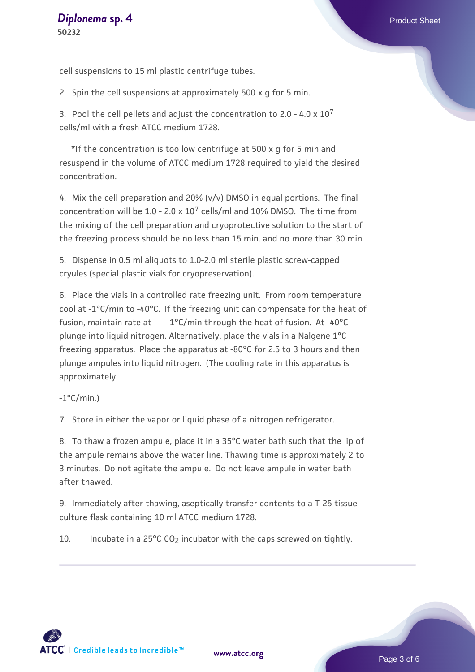cell suspensions to 15 ml plastic centrifuge tubes.

2. Spin the cell suspensions at approximately 500 x g for 5 min.

3. Pool the cell pellets and adjust the concentration to 2.0 - 4.0  $\times$  10<sup>7</sup> cells/ml with a fresh ATCC medium 1728.

 \*If the concentration is too low centrifuge at 500 x g for 5 min and resuspend in the volume of ATCC medium 1728 required to yield the desired concentration.

4. Mix the cell preparation and 20% (v/v) DMSO in equal portions. The final concentration will be  $1.0 - 2.0 \times 10^7$  cells/ml and 10% DMSO. The time from the mixing of the cell preparation and cryoprotective solution to the start of the freezing process should be no less than 15 min. and no more than 30 min.

5. Dispense in 0.5 ml aliquots to 1.0-2.0 ml sterile plastic screw-capped cryules (special plastic vials for cryopreservation).

6. Place the vials in a controlled rate freezing unit. From room temperature cool at -1°C/min to -40°C. If the freezing unit can compensate for the heat of fusion, maintain rate at -1°C/min through the heat of fusion. At -40°C plunge into liquid nitrogen. Alternatively, place the vials in a Nalgene 1°C freezing apparatus. Place the apparatus at -80°C for 2.5 to 3 hours and then plunge ampules into liquid nitrogen. (The cooling rate in this apparatus is approximately

 $-1$ °C/min.)

7. Store in either the vapor or liquid phase of a nitrogen refrigerator.

8. To thaw a frozen ampule, place it in a 35°C water bath such that the lip of the ampule remains above the water line. Thawing time is approximately 2 to 3 minutes. Do not agitate the ampule. Do not leave ampule in water bath after thawed.

9. Immediately after thawing, aseptically transfer contents to a T-25 tissue culture flask containing 10 ml ATCC medium 1728.

10. Incubate in a  $25^{\circ}$ C CO<sub>2</sub> incubator with the caps screwed on tightly.



**[www.atcc.org](http://www.atcc.org)**

Page 3 of 6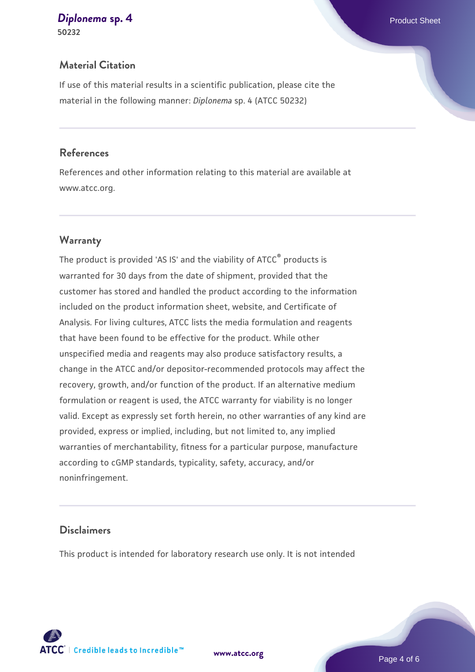# **[Diplonema](https://www.atcc.org/products/50232)** [sp. 4](https://www.atcc.org/products/50232) **Product Sheet** Product Sheet

**50232**

# **Material Citation**

If use of this material results in a scientific publication, please cite the material in the following manner: *Diplonema* sp. 4 (ATCC 50232)

#### **References**

References and other information relating to this material are available at www.atcc.org.

#### **Warranty**

The product is provided 'AS IS' and the viability of ATCC® products is warranted for 30 days from the date of shipment, provided that the customer has stored and handled the product according to the information included on the product information sheet, website, and Certificate of Analysis. For living cultures, ATCC lists the media formulation and reagents that have been found to be effective for the product. While other unspecified media and reagents may also produce satisfactory results, a change in the ATCC and/or depositor-recommended protocols may affect the recovery, growth, and/or function of the product. If an alternative medium formulation or reagent is used, the ATCC warranty for viability is no longer valid. Except as expressly set forth herein, no other warranties of any kind are provided, express or implied, including, but not limited to, any implied warranties of merchantability, fitness for a particular purpose, manufacture according to cGMP standards, typicality, safety, accuracy, and/or noninfringement.

#### **Disclaimers**

This product is intended for laboratory research use only. It is not intended



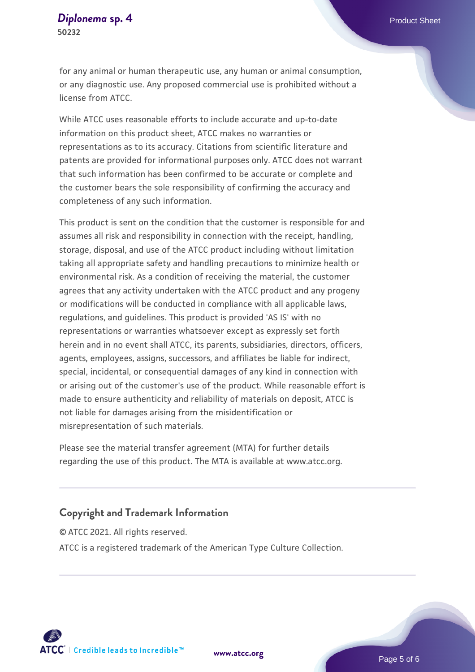for any animal or human therapeutic use, any human or animal consumption, or any diagnostic use. Any proposed commercial use is prohibited without a license from ATCC.

While ATCC uses reasonable efforts to include accurate and up-to-date information on this product sheet, ATCC makes no warranties or representations as to its accuracy. Citations from scientific literature and patents are provided for informational purposes only. ATCC does not warrant that such information has been confirmed to be accurate or complete and the customer bears the sole responsibility of confirming the accuracy and completeness of any such information.

This product is sent on the condition that the customer is responsible for and assumes all risk and responsibility in connection with the receipt, handling, storage, disposal, and use of the ATCC product including without limitation taking all appropriate safety and handling precautions to minimize health or environmental risk. As a condition of receiving the material, the customer agrees that any activity undertaken with the ATCC product and any progeny or modifications will be conducted in compliance with all applicable laws, regulations, and guidelines. This product is provided 'AS IS' with no representations or warranties whatsoever except as expressly set forth herein and in no event shall ATCC, its parents, subsidiaries, directors, officers, agents, employees, assigns, successors, and affiliates be liable for indirect, special, incidental, or consequential damages of any kind in connection with or arising out of the customer's use of the product. While reasonable effort is made to ensure authenticity and reliability of materials on deposit, ATCC is not liable for damages arising from the misidentification or misrepresentation of such materials.

Please see the material transfer agreement (MTA) for further details regarding the use of this product. The MTA is available at www.atcc.org.

#### **Copyright and Trademark Information**

© ATCC 2021. All rights reserved. ATCC is a registered trademark of the American Type Culture Collection.



**[www.atcc.org](http://www.atcc.org)**

Page 5 of 6